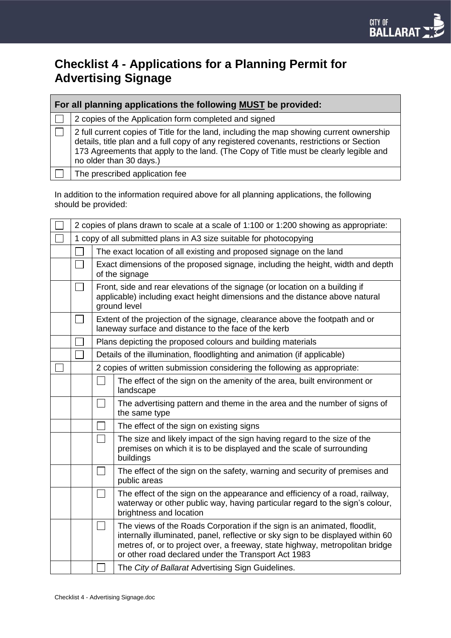# **Checklist 4 - Applications for a Planning Permit for Advertising Signage**

| For all planning applications the following MUST be provided: |                                                                                                                                                                                                                                                                                                          |  |  |  |
|---------------------------------------------------------------|----------------------------------------------------------------------------------------------------------------------------------------------------------------------------------------------------------------------------------------------------------------------------------------------------------|--|--|--|
|                                                               | 2 copies of the Application form completed and signed                                                                                                                                                                                                                                                    |  |  |  |
|                                                               | 2 full current copies of Title for the land, including the map showing current ownership<br>details, title plan and a full copy of any registered covenants, restrictions or Section<br>173 Agreements that apply to the land. (The Copy of Title must be clearly legible and<br>no older than 30 days.) |  |  |  |
|                                                               | The prescribed application fee                                                                                                                                                                                                                                                                           |  |  |  |

In addition to the information required above for all planning applications, the following should be provided:

| 2 copies of plans drawn to scale at a scale of 1:100 or 1:200 showing as appropriate: |                                                                                                                                                                              |                                                                                                                                                                                                                                                                                                    |  |  |
|---------------------------------------------------------------------------------------|------------------------------------------------------------------------------------------------------------------------------------------------------------------------------|----------------------------------------------------------------------------------------------------------------------------------------------------------------------------------------------------------------------------------------------------------------------------------------------------|--|--|
| 1 copy of all submitted plans in A3 size suitable for photocopying                    |                                                                                                                                                                              |                                                                                                                                                                                                                                                                                                    |  |  |
|                                                                                       |                                                                                                                                                                              | The exact location of all existing and proposed signage on the land                                                                                                                                                                                                                                |  |  |
|                                                                                       |                                                                                                                                                                              | Exact dimensions of the proposed signage, including the height, width and depth<br>of the signage                                                                                                                                                                                                  |  |  |
|                                                                                       | Front, side and rear elevations of the signage (or location on a building if<br>applicable) including exact height dimensions and the distance above natural<br>ground level |                                                                                                                                                                                                                                                                                                    |  |  |
|                                                                                       | Extent of the projection of the signage, clearance above the footpath and or<br>laneway surface and distance to the face of the kerb                                         |                                                                                                                                                                                                                                                                                                    |  |  |
|                                                                                       |                                                                                                                                                                              | Plans depicting the proposed colours and building materials                                                                                                                                                                                                                                        |  |  |
|                                                                                       |                                                                                                                                                                              | Details of the illumination, floodlighting and animation (if applicable)                                                                                                                                                                                                                           |  |  |
|                                                                                       |                                                                                                                                                                              | 2 copies of written submission considering the following as appropriate:                                                                                                                                                                                                                           |  |  |
|                                                                                       |                                                                                                                                                                              | The effect of the sign on the amenity of the area, built environment or<br>landscape                                                                                                                                                                                                               |  |  |
|                                                                                       |                                                                                                                                                                              | The advertising pattern and theme in the area and the number of signs of<br>the same type                                                                                                                                                                                                          |  |  |
|                                                                                       |                                                                                                                                                                              | The effect of the sign on existing signs                                                                                                                                                                                                                                                           |  |  |
|                                                                                       |                                                                                                                                                                              | The size and likely impact of the sign having regard to the size of the<br>premises on which it is to be displayed and the scale of surrounding<br>buildings                                                                                                                                       |  |  |
|                                                                                       |                                                                                                                                                                              | The effect of the sign on the safety, warning and security of premises and<br>public areas                                                                                                                                                                                                         |  |  |
|                                                                                       |                                                                                                                                                                              | The effect of the sign on the appearance and efficiency of a road, railway,<br>waterway or other public way, having particular regard to the sign's colour,<br>brightness and location                                                                                                             |  |  |
|                                                                                       |                                                                                                                                                                              | The views of the Roads Corporation if the sign is an animated, floodlit,<br>internally illuminated, panel, reflective or sky sign to be displayed within 60<br>metres of, or to project over, a freeway, state highway, metropolitan bridge<br>or other road declared under the Transport Act 1983 |  |  |
|                                                                                       |                                                                                                                                                                              | The City of Ballarat Advertising Sign Guidelines.                                                                                                                                                                                                                                                  |  |  |